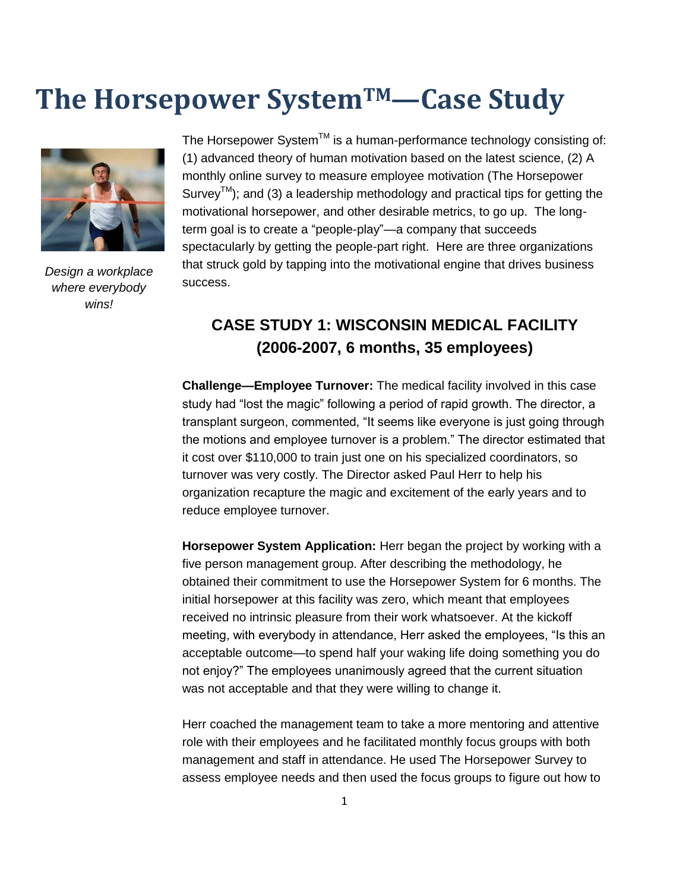# **The Horsepower SystemTM—Case Study**



*Design a workplace where everybody wins!*

The Horsepower System<sup>TM</sup> is a human-performance technology consisting of: (1) advanced theory of human motivation based on the latest science, (2) A monthly online survey to measure employee motivation (The Horsepower Survey<sup>TM</sup>); and (3) a leadership methodology and practical tips for getting the motivational horsepower, and other desirable metrics, to go up. The longterm goal is to create a "people-play"—a company that succeeds spectacularly by getting the people-part right. Here are three organizations that struck gold by tapping into the motivational engine that drives business success.

## **CASE STUDY 1: WISCONSIN MEDICAL FACILITY (2006-2007, 6 months, 35 employees)**

**Challenge—Employee Turnover:** The medical facility involved in this case study had "lost the magic" following a period of rapid growth. The director, a transplant surgeon, commented, "It seems like everyone is just going through the motions and employee turnover is a problem." The director estimated that it cost over \$110,000 to train just one on his specialized coordinators, so turnover was very costly. The Director asked Paul Herr to help his organization recapture the magic and excitement of the early years and to reduce employee turnover.

**Horsepower System Application:** Herr began the project by working with a five person management group. After describing the methodology, he obtained their commitment to use the Horsepower System for 6 months. The initial horsepower at this facility was zero, which meant that employees received no intrinsic pleasure from their work whatsoever. At the kickoff meeting, with everybody in attendance, Herr asked the employees, "Is this an acceptable outcome—to spend half your waking life doing something you do not enjoy?" The employees unanimously agreed that the current situation was not acceptable and that they were willing to change it.

Herr coached the management team to take a more mentoring and attentive role with their employees and he facilitated monthly focus groups with both management and staff in attendance. He used The Horsepower Survey to assess employee needs and then used the focus groups to figure out how to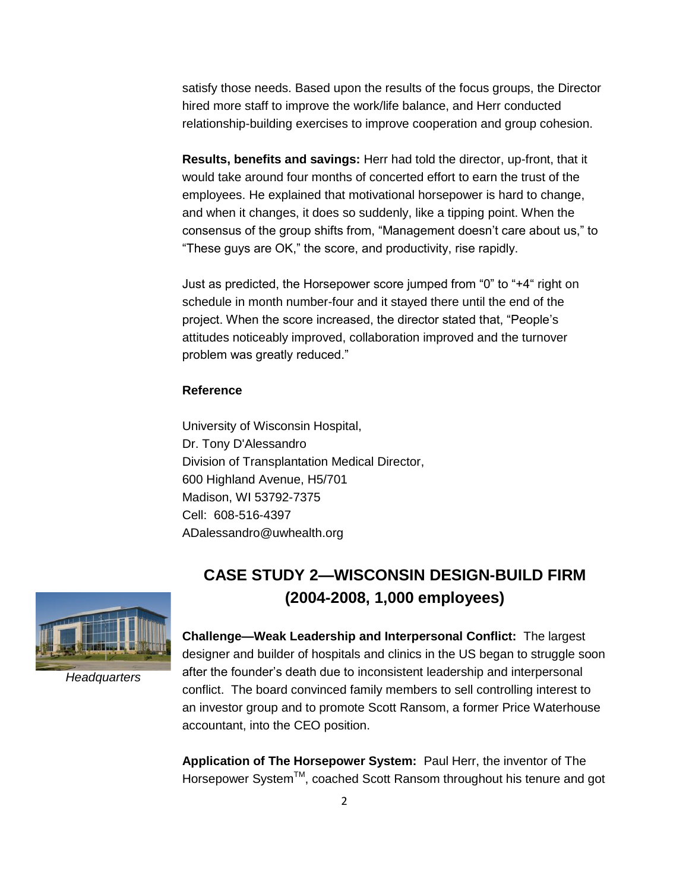satisfy those needs. Based upon the results of the focus groups, the Director hired more staff to improve the work/life balance, and Herr conducted relationship-building exercises to improve cooperation and group cohesion.

**Results, benefits and savings:** Herr had told the director, up-front, that it would take around four months of concerted effort to earn the trust of the employees. He explained that motivational horsepower is hard to change, and when it changes, it does so suddenly, like a tipping point. When the consensus of the group shifts from, "Management doesn"t care about us," to "These guys are OK," the score, and productivity, rise rapidly.

Just as predicted, the Horsepower score jumped from "0" to "+4" right on schedule in month number-four and it stayed there until the end of the project. When the score increased, the director stated that, "People"s attitudes noticeably improved, collaboration improved and the turnover problem was greatly reduced."

#### **Reference**

University of Wisconsin Hospital, Dr. Tony D'Alessandro Division of Transplantation Medical Director, 600 Highland Avenue, H5/701 Madison, WI 53792-7375 Cell: 608-516-4397 ADalessandro@uwhealth.org

### **CASE STUDY 2—WISCONSIN DESIGN-BUILD FIRM (2004-2008, 1,000 employees)**



*Headquarters*

**Challenge—Weak Leadership and Interpersonal Conflict:** The largest designer and builder of hospitals and clinics in the US began to struggle soon after the founder"s death due to inconsistent leadership and interpersonal conflict. The board convinced family members to sell controlling interest to an investor group and to promote Scott Ransom, a former Price Waterhouse accountant, into the CEO position.

**Application of The Horsepower System:** Paul Herr, the inventor of The Horsepower System<sup>™</sup>, coached Scott Ransom throughout his tenure and got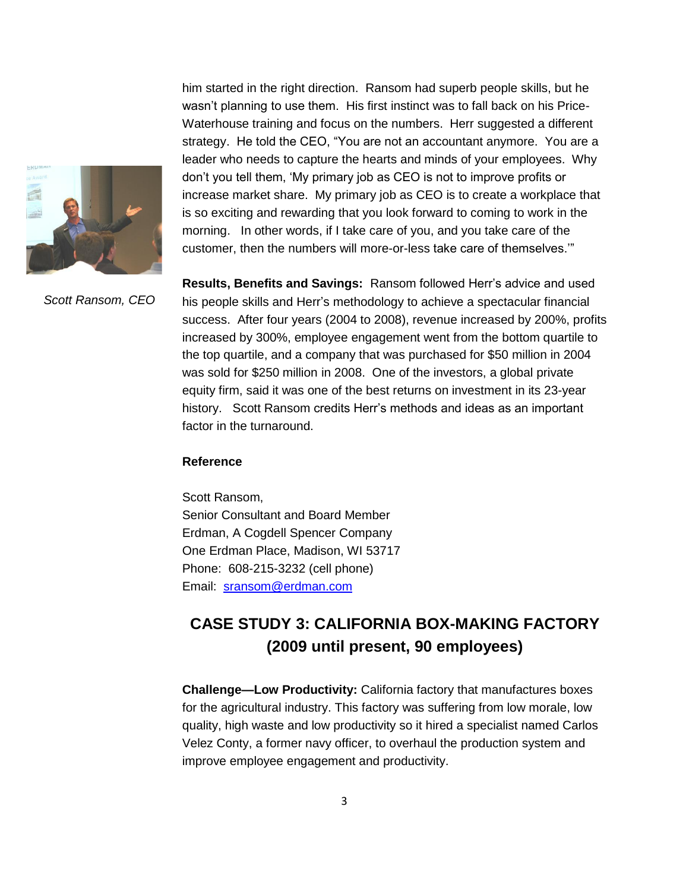

him started in the right direction. Ransom had superb people skills, but he wasn"t planning to use them. His first instinct was to fall back on his Price-Waterhouse training and focus on the numbers. Herr suggested a different strategy. He told the CEO, "You are not an accountant anymore. You are a leader who needs to capture the hearts and minds of your employees. Why don"t you tell them, "My primary job as CEO is not to improve profits or increase market share. My primary job as CEO is to create a workplace that is so exciting and rewarding that you look forward to coming to work in the morning. In other words, if I take care of you, and you take care of the customer, then the numbers will more-or-less take care of themselves.""

*Scott Ransom, CEO*

**Results, Benefits and Savings:** Ransom followed Herr"s advice and used his people skills and Herr"s methodology to achieve a spectacular financial success. After four years (2004 to 2008), revenue increased by 200%, profits increased by 300%, employee engagement went from the bottom quartile to the top quartile, and a company that was purchased for \$50 million in 2004 was sold for \$250 million in 2008. One of the investors, a global private equity firm, said it was one of the best returns on investment in its 23-year history. Scott Ransom credits Herr"s methods and ideas as an important factor in the turnaround.

#### **Reference**

Scott Ransom, Senior Consultant and Board Member Erdman, A Cogdell Spencer Company One Erdman Place, Madison, WI 53717 Phone: 608-215-3232 (cell phone) Email: [sransom@erdman.com](mailto:sransom@erdman.com)

### **CASE STUDY 3: CALIFORNIA BOX-MAKING FACTORY (2009 until present, 90 employees)**

**Challenge—Low Productivity:** California factory that manufactures boxes for the agricultural industry. This factory was suffering from low morale, low quality, high waste and low productivity so it hired a specialist named Carlos Velez Conty, a former navy officer, to overhaul the production system and improve employee engagement and productivity.